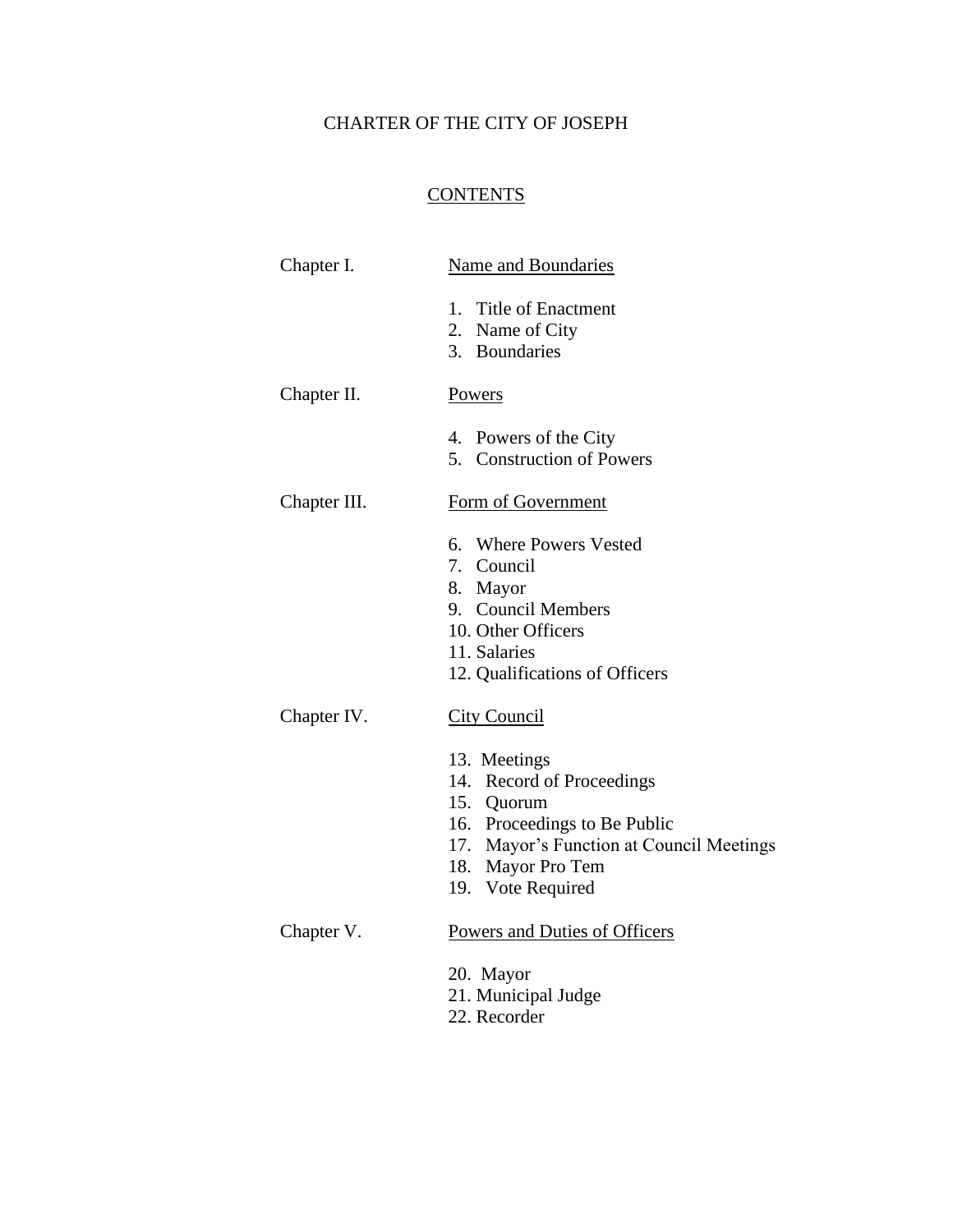# CHARTER OF THE CITY OF JOSEPH

## **CONTENTS**

| Chapter I.   | <b>Name and Boundaries</b>                                          |
|--------------|---------------------------------------------------------------------|
|              | <b>Title of Enactment</b><br>1.<br>2. Name of City<br>3. Boundaries |
| Chapter II.  | Powers                                                              |
|              |                                                                     |
|              | 4. Powers of the City                                               |
|              | 5. Construction of Powers                                           |
| Chapter III. | Form of Government                                                  |
|              | 6. Where Powers Vested                                              |
|              | 7. Council                                                          |
|              | 8. Mayor                                                            |
|              | 9. Council Members                                                  |
|              | 10. Other Officers<br>11. Salaries                                  |
|              | 12. Qualifications of Officers                                      |
|              |                                                                     |
| Chapter IV.  | <b>City Council</b>                                                 |
|              | 13. Meetings                                                        |
|              | 14. Record of Proceedings                                           |
|              | 15. Quorum                                                          |
|              | 16. Proceedings to Be Public                                        |
|              | 17. Mayor's Function at Council Meetings                            |
|              | 18. Mayor Pro Tem                                                   |
|              | 19. Vote Required                                                   |
| Chapter V.   | Powers and Duties of Officers                                       |
|              | 20. Mayor                                                           |
|              | 21. Municipal Judge                                                 |
|              |                                                                     |

22. Recorder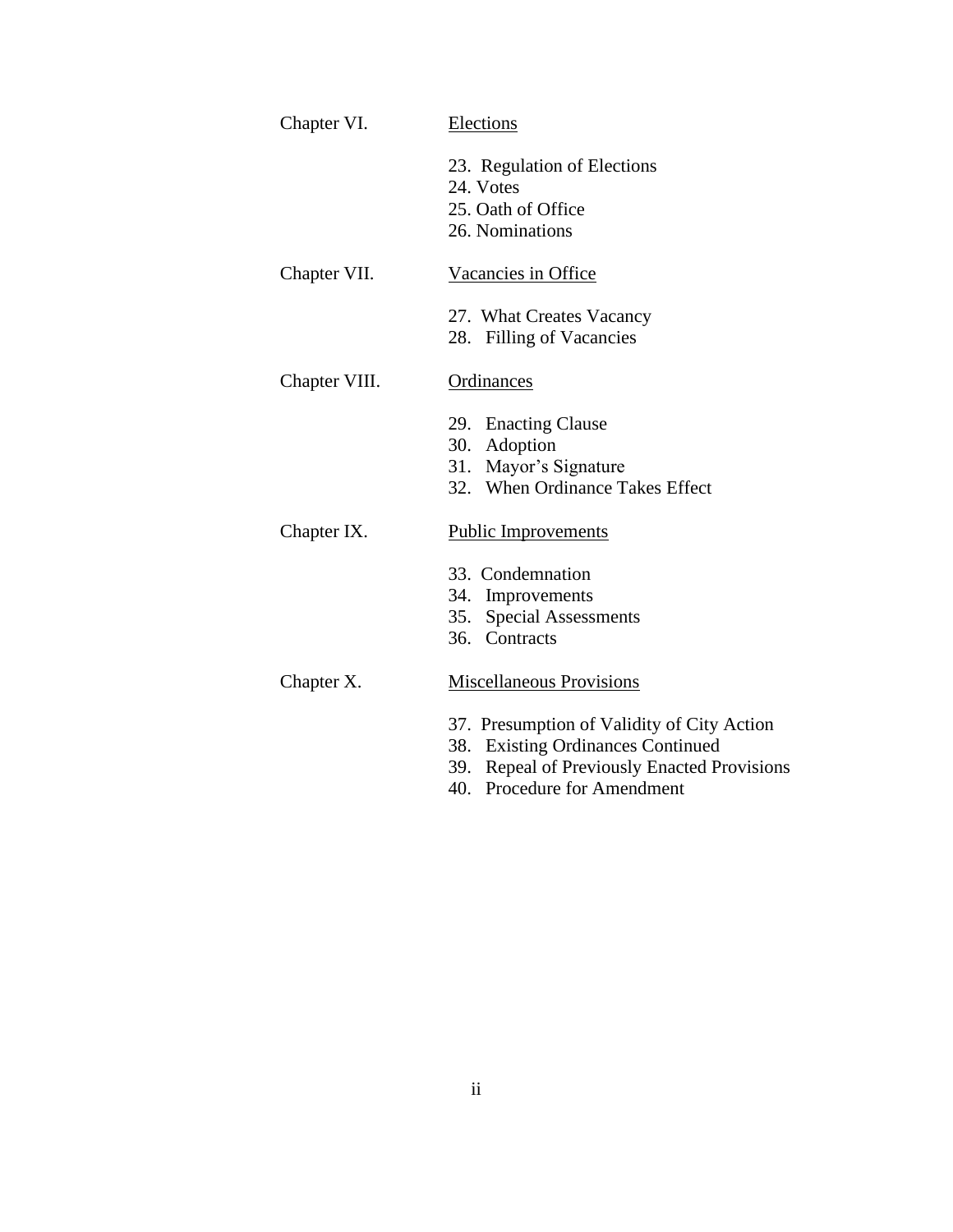| Chapter VI.   | <b>Elections</b>                                                                                                                                                 |
|---------------|------------------------------------------------------------------------------------------------------------------------------------------------------------------|
|               | 23. Regulation of Elections<br>24. Votes<br>25. Oath of Office<br>26. Nominations                                                                                |
| Chapter VII.  | Vacancies in Office                                                                                                                                              |
|               | 27. What Creates Vacancy<br>28. Filling of Vacancies                                                                                                             |
| Chapter VIII. | Ordinances                                                                                                                                                       |
|               | 29. Enacting Clause<br>30. Adoption<br>31. Mayor's Signature<br>32. When Ordinance Takes Effect                                                                  |
| Chapter IX.   | <b>Public Improvements</b>                                                                                                                                       |
|               | 33. Condemnation<br>34. Improvements<br>35. Special Assessments<br>36. Contracts                                                                                 |
| Chapter X.    | <b>Miscellaneous Provisions</b>                                                                                                                                  |
|               | 37. Presumption of Validity of City Action<br>38. Existing Ordinances Continued<br>39. Repeal of Previously Enacted Provisions<br>Procedure for Amendment<br>40. |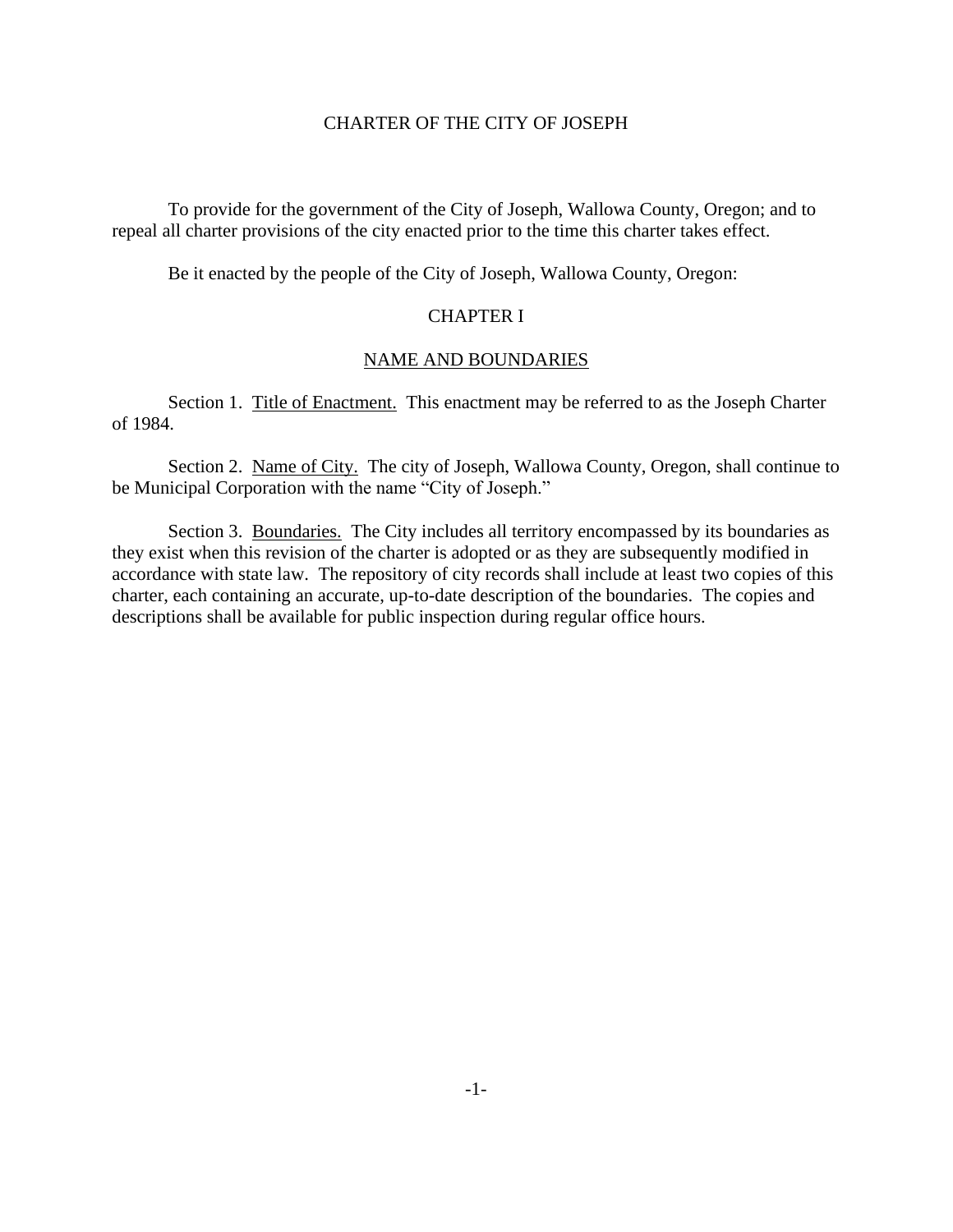#### CHARTER OF THE CITY OF JOSEPH

To provide for the government of the City of Joseph, Wallowa County, Oregon; and to repeal all charter provisions of the city enacted prior to the time this charter takes effect.

Be it enacted by the people of the City of Joseph, Wallowa County, Oregon:

## CHAPTER I

## NAME AND BOUNDARIES

Section 1. Title of Enactment. This enactment may be referred to as the Joseph Charter of 1984.

Section 2. Name of City. The city of Joseph, Wallowa County, Oregon, shall continue to be Municipal Corporation with the name "City of Joseph."

Section 3. Boundaries. The City includes all territory encompassed by its boundaries as they exist when this revision of the charter is adopted or as they are subsequently modified in accordance with state law. The repository of city records shall include at least two copies of this charter, each containing an accurate, up-to-date description of the boundaries. The copies and descriptions shall be available for public inspection during regular office hours.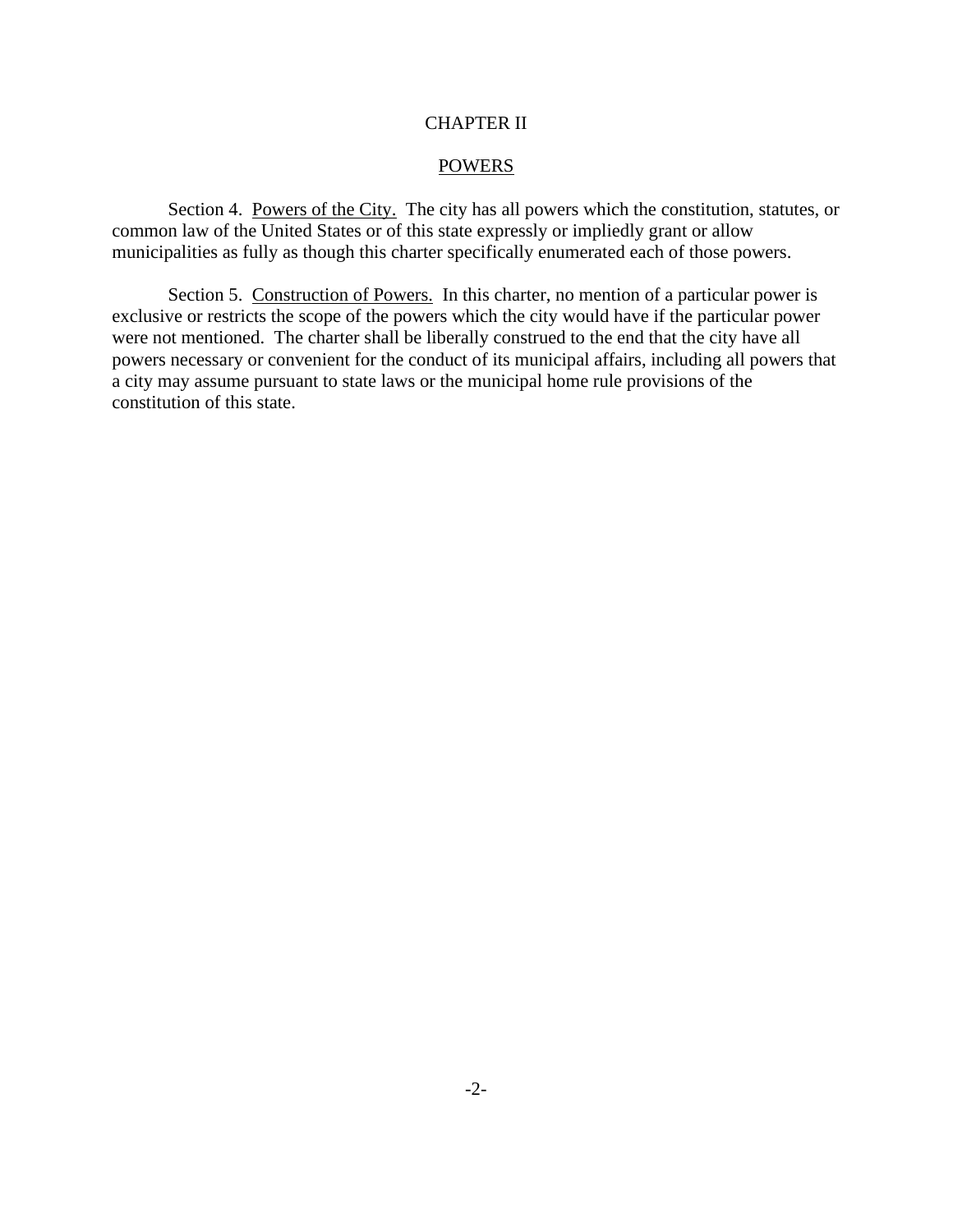## CHAPTER II

## POWERS

Section 4. Powers of the City. The city has all powers which the constitution, statutes, or common law of the United States or of this state expressly or impliedly grant or allow municipalities as fully as though this charter specifically enumerated each of those powers.

Section 5. Construction of Powers. In this charter, no mention of a particular power is exclusive or restricts the scope of the powers which the city would have if the particular power were not mentioned. The charter shall be liberally construed to the end that the city have all powers necessary or convenient for the conduct of its municipal affairs, including all powers that a city may assume pursuant to state laws or the municipal home rule provisions of the constitution of this state.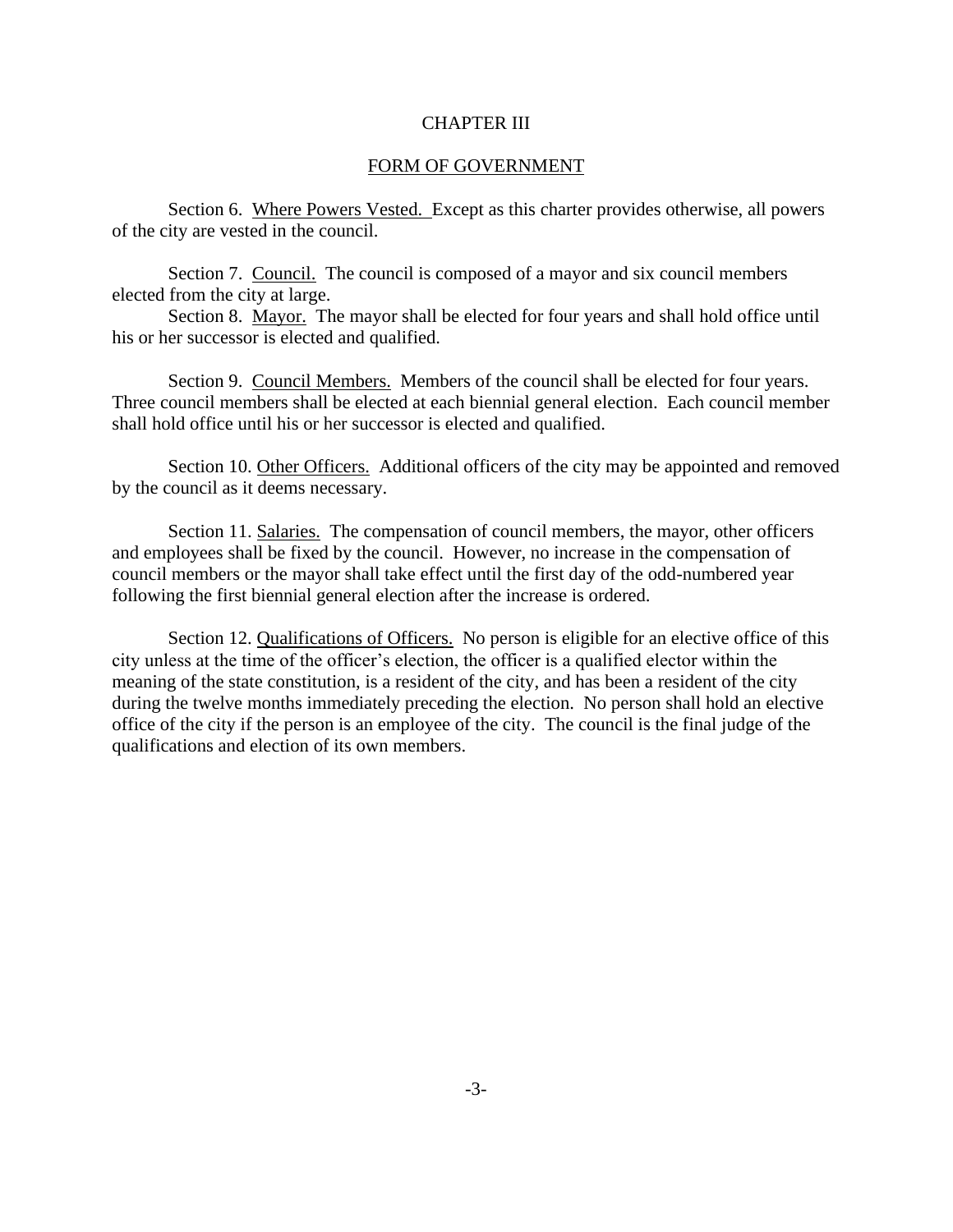#### CHAPTER III

#### FORM OF GOVERNMENT

Section 6. Where Powers Vested. Except as this charter provides otherwise, all powers of the city are vested in the council.

Section 7. Council. The council is composed of a mayor and six council members elected from the city at large.

Section 8. Mayor. The mayor shall be elected for four years and shall hold office until his or her successor is elected and qualified.

Section 9. Council Members. Members of the council shall be elected for four years. Three council members shall be elected at each biennial general election. Each council member shall hold office until his or her successor is elected and qualified.

Section 10. Other Officers. Additional officers of the city may be appointed and removed by the council as it deems necessary.

Section 11. Salaries. The compensation of council members, the mayor, other officers and employees shall be fixed by the council. However, no increase in the compensation of council members or the mayor shall take effect until the first day of the odd-numbered year following the first biennial general election after the increase is ordered.

Section 12. Qualifications of Officers. No person is eligible for an elective office of this city unless at the time of the officer's election, the officer is a qualified elector within the meaning of the state constitution, is a resident of the city, and has been a resident of the city during the twelve months immediately preceding the election. No person shall hold an elective office of the city if the person is an employee of the city. The council is the final judge of the qualifications and election of its own members.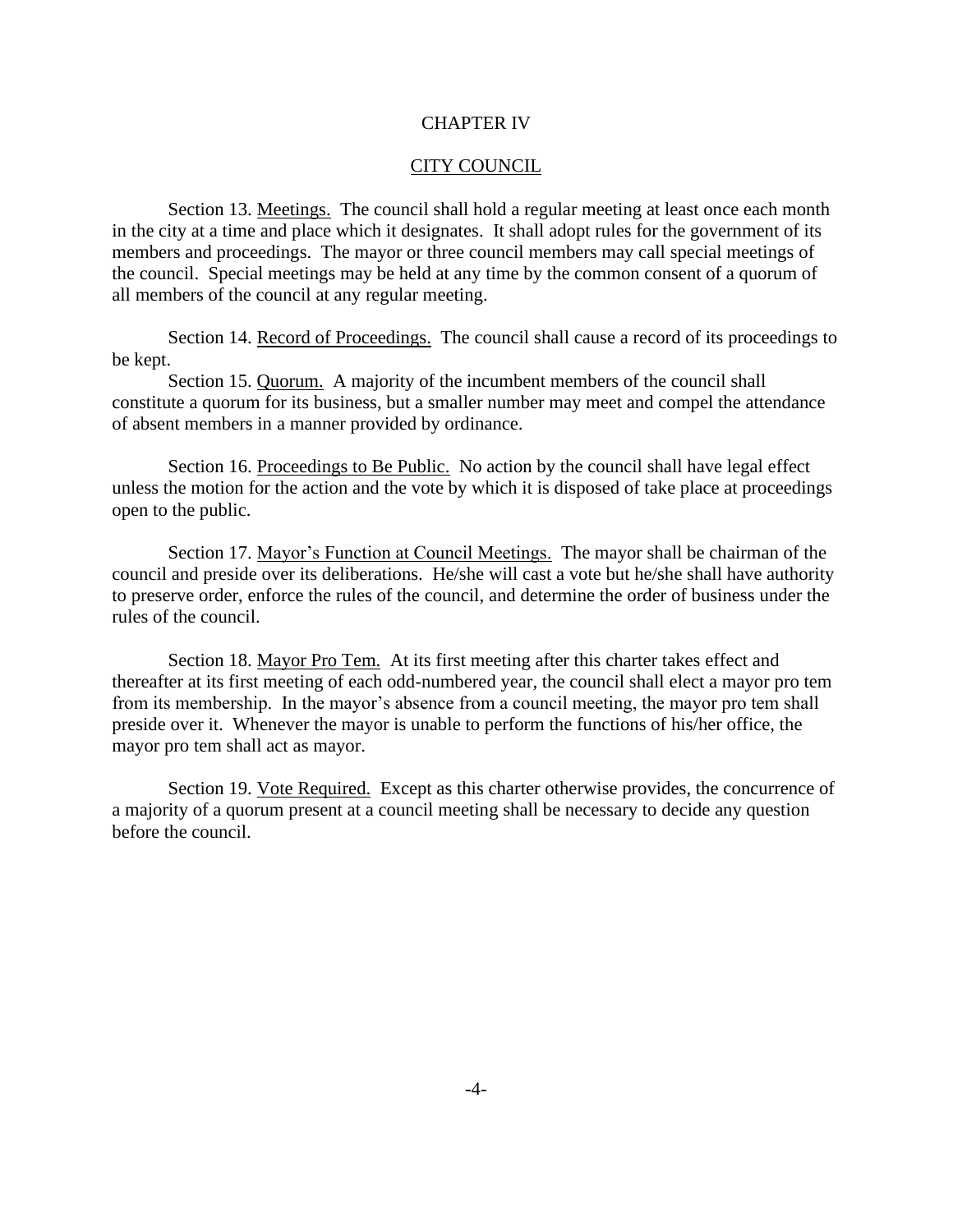#### CHAPTER IV

#### CITY COUNCIL

Section 13. Meetings. The council shall hold a regular meeting at least once each month in the city at a time and place which it designates. It shall adopt rules for the government of its members and proceedings. The mayor or three council members may call special meetings of the council. Special meetings may be held at any time by the common consent of a quorum of all members of the council at any regular meeting.

Section 14. Record of Proceedings. The council shall cause a record of its proceedings to be kept.

Section 15. Quorum. A majority of the incumbent members of the council shall constitute a quorum for its business, but a smaller number may meet and compel the attendance of absent members in a manner provided by ordinance.

Section 16. Proceedings to Be Public. No action by the council shall have legal effect unless the motion for the action and the vote by which it is disposed of take place at proceedings open to the public.

Section 17. Mayor's Function at Council Meetings. The mayor shall be chairman of the council and preside over its deliberations. He/she will cast a vote but he/she shall have authority to preserve order, enforce the rules of the council, and determine the order of business under the rules of the council.

Section 18. Mayor Pro Tem. At its first meeting after this charter takes effect and thereafter at its first meeting of each odd-numbered year, the council shall elect a mayor pro tem from its membership. In the mayor's absence from a council meeting, the mayor pro tem shall preside over it. Whenever the mayor is unable to perform the functions of his/her office, the mayor pro tem shall act as mayor.

Section 19. Vote Required. Except as this charter otherwise provides, the concurrence of a majority of a quorum present at a council meeting shall be necessary to decide any question before the council.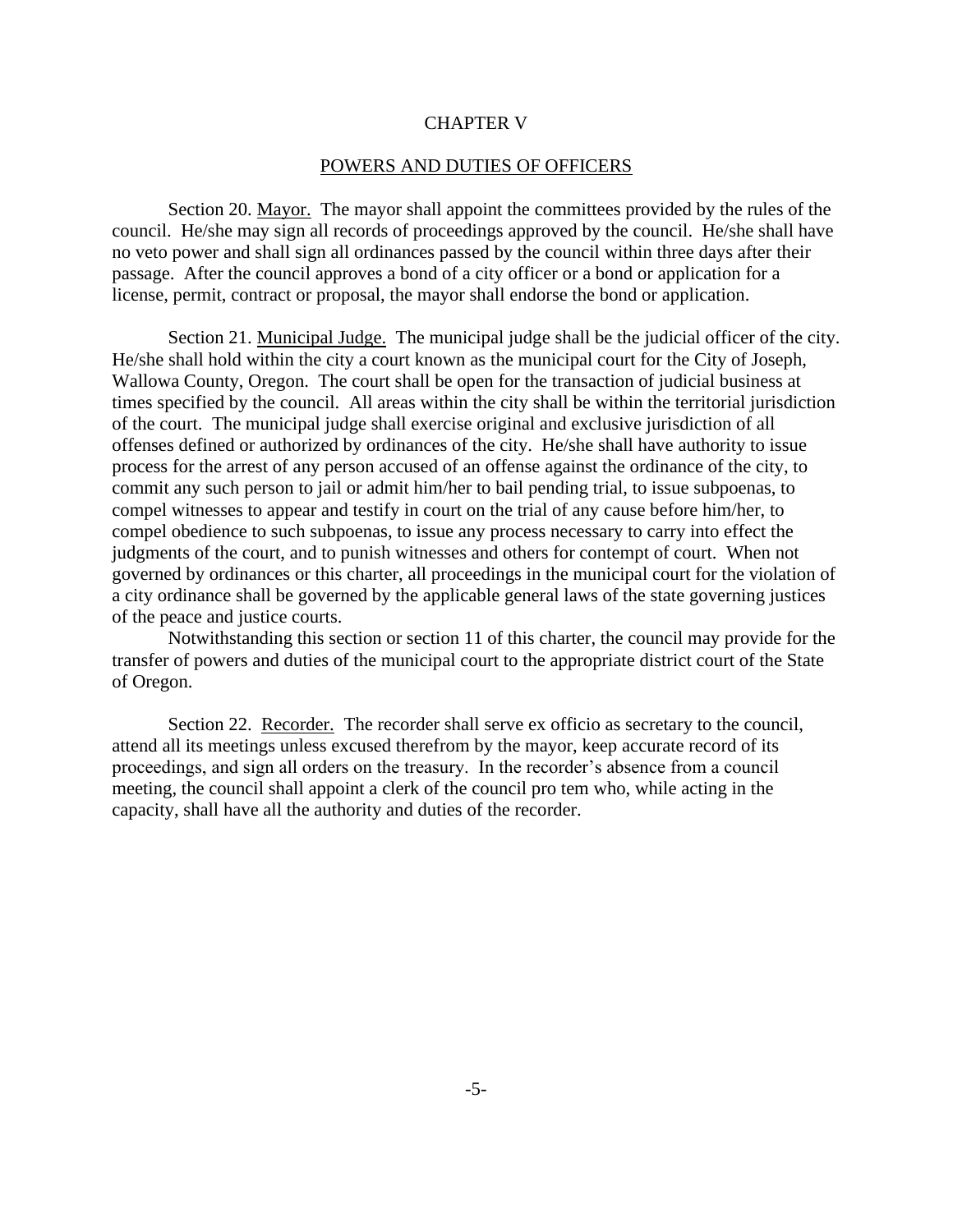#### CHAPTER V

#### POWERS AND DUTIES OF OFFICERS

Section 20. Mayor. The mayor shall appoint the committees provided by the rules of the council. He/she may sign all records of proceedings approved by the council. He/she shall have no veto power and shall sign all ordinances passed by the council within three days after their passage. After the council approves a bond of a city officer or a bond or application for a license, permit, contract or proposal, the mayor shall endorse the bond or application.

Section 21. Municipal Judge. The municipal judge shall be the judicial officer of the city. He/she shall hold within the city a court known as the municipal court for the City of Joseph, Wallowa County, Oregon. The court shall be open for the transaction of judicial business at times specified by the council. All areas within the city shall be within the territorial jurisdiction of the court. The municipal judge shall exercise original and exclusive jurisdiction of all offenses defined or authorized by ordinances of the city. He/she shall have authority to issue process for the arrest of any person accused of an offense against the ordinance of the city, to commit any such person to jail or admit him/her to bail pending trial, to issue subpoenas, to compel witnesses to appear and testify in court on the trial of any cause before him/her, to compel obedience to such subpoenas, to issue any process necessary to carry into effect the judgments of the court, and to punish witnesses and others for contempt of court. When not governed by ordinances or this charter, all proceedings in the municipal court for the violation of a city ordinance shall be governed by the applicable general laws of the state governing justices of the peace and justice courts.

Notwithstanding this section or section 11 of this charter, the council may provide for the transfer of powers and duties of the municipal court to the appropriate district court of the State of Oregon.

Section 22. Recorder. The recorder shall serve ex officio as secretary to the council, attend all its meetings unless excused therefrom by the mayor, keep accurate record of its proceedings, and sign all orders on the treasury. In the recorder's absence from a council meeting, the council shall appoint a clerk of the council pro tem who, while acting in the capacity, shall have all the authority and duties of the recorder.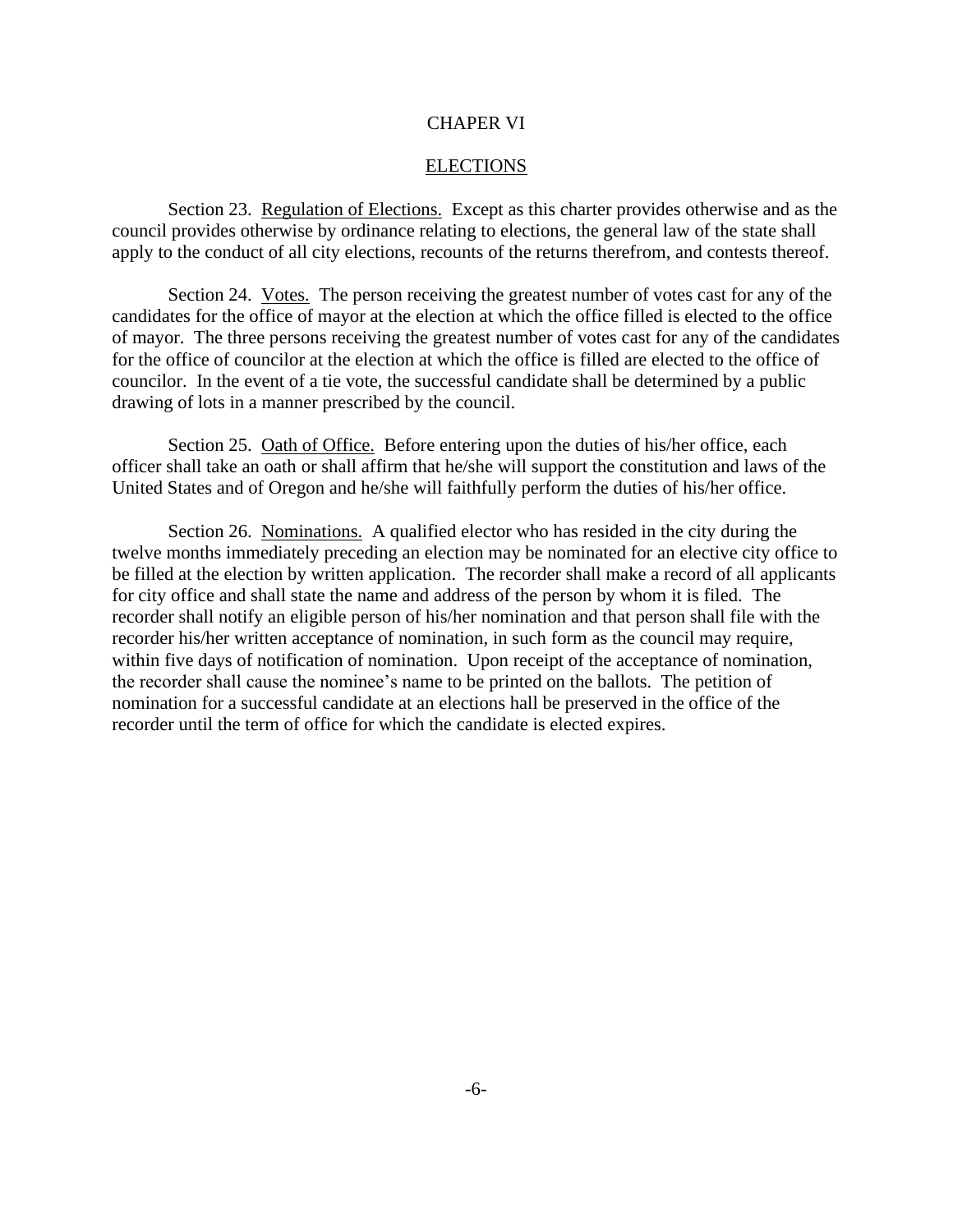#### CHAPER VI

#### ELECTIONS

Section 23. Regulation of Elections. Except as this charter provides otherwise and as the council provides otherwise by ordinance relating to elections, the general law of the state shall apply to the conduct of all city elections, recounts of the returns therefrom, and contests thereof.

Section 24. Votes. The person receiving the greatest number of votes cast for any of the candidates for the office of mayor at the election at which the office filled is elected to the office of mayor. The three persons receiving the greatest number of votes cast for any of the candidates for the office of councilor at the election at which the office is filled are elected to the office of councilor. In the event of a tie vote, the successful candidate shall be determined by a public drawing of lots in a manner prescribed by the council.

Section 25. Oath of Office. Before entering upon the duties of his/her office, each officer shall take an oath or shall affirm that he/she will support the constitution and laws of the United States and of Oregon and he/she will faithfully perform the duties of his/her office.

Section 26. Nominations. A qualified elector who has resided in the city during the twelve months immediately preceding an election may be nominated for an elective city office to be filled at the election by written application. The recorder shall make a record of all applicants for city office and shall state the name and address of the person by whom it is filed. The recorder shall notify an eligible person of his/her nomination and that person shall file with the recorder his/her written acceptance of nomination, in such form as the council may require, within five days of notification of nomination. Upon receipt of the acceptance of nomination, the recorder shall cause the nominee's name to be printed on the ballots. The petition of nomination for a successful candidate at an elections hall be preserved in the office of the recorder until the term of office for which the candidate is elected expires.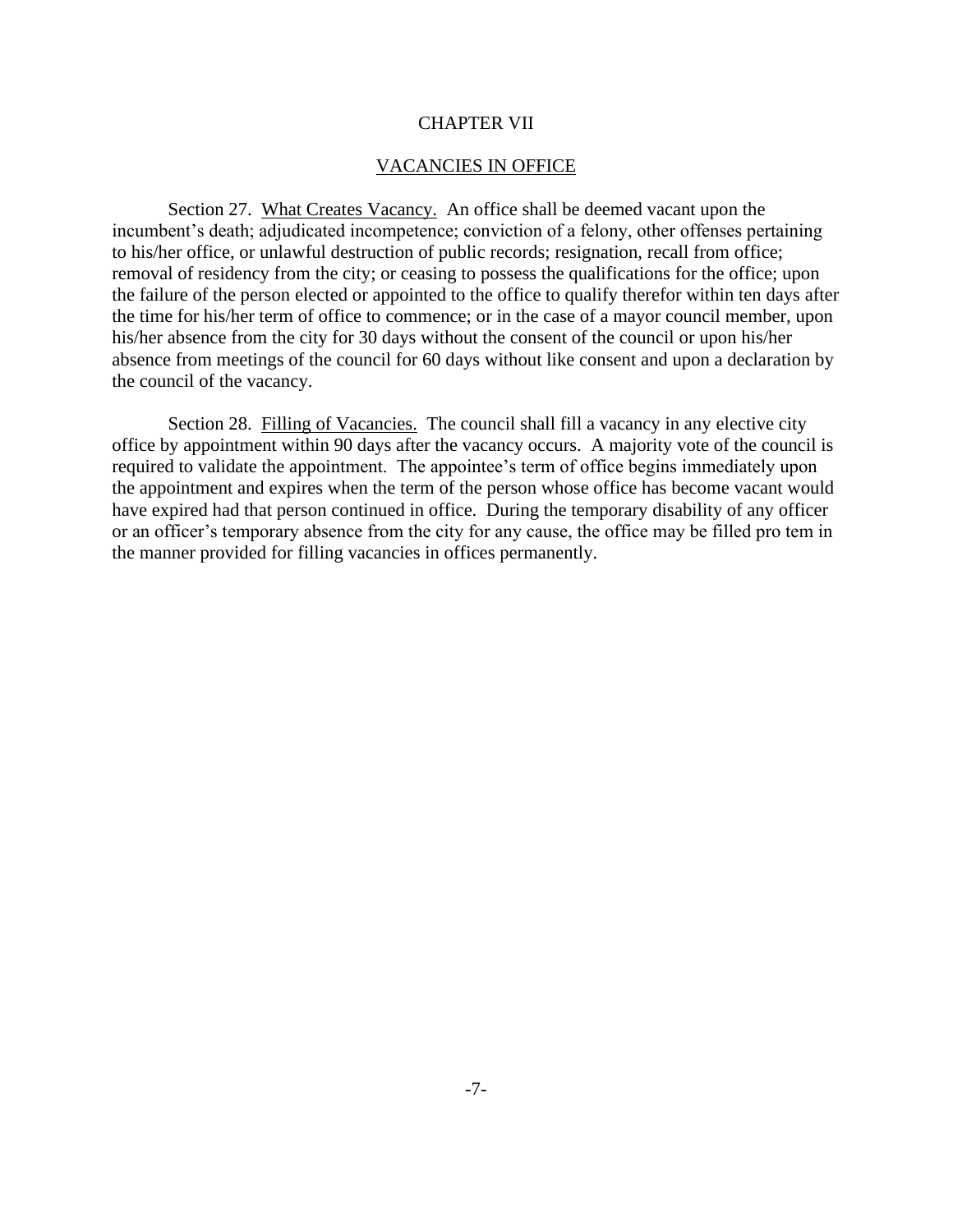#### CHAPTER VII

#### VACANCIES IN OFFICE

Section 27. What Creates Vacancy. An office shall be deemed vacant upon the incumbent's death; adjudicated incompetence; conviction of a felony, other offenses pertaining to his/her office, or unlawful destruction of public records; resignation, recall from office; removal of residency from the city; or ceasing to possess the qualifications for the office; upon the failure of the person elected or appointed to the office to qualify therefor within ten days after the time for his/her term of office to commence; or in the case of a mayor council member, upon his/her absence from the city for 30 days without the consent of the council or upon his/her absence from meetings of the council for 60 days without like consent and upon a declaration by the council of the vacancy.

Section 28. Filling of Vacancies. The council shall fill a vacancy in any elective city office by appointment within 90 days after the vacancy occurs. A majority vote of the council is required to validate the appointment. The appointee's term of office begins immediately upon the appointment and expires when the term of the person whose office has become vacant would have expired had that person continued in office. During the temporary disability of any officer or an officer's temporary absence from the city for any cause, the office may be filled pro tem in the manner provided for filling vacancies in offices permanently.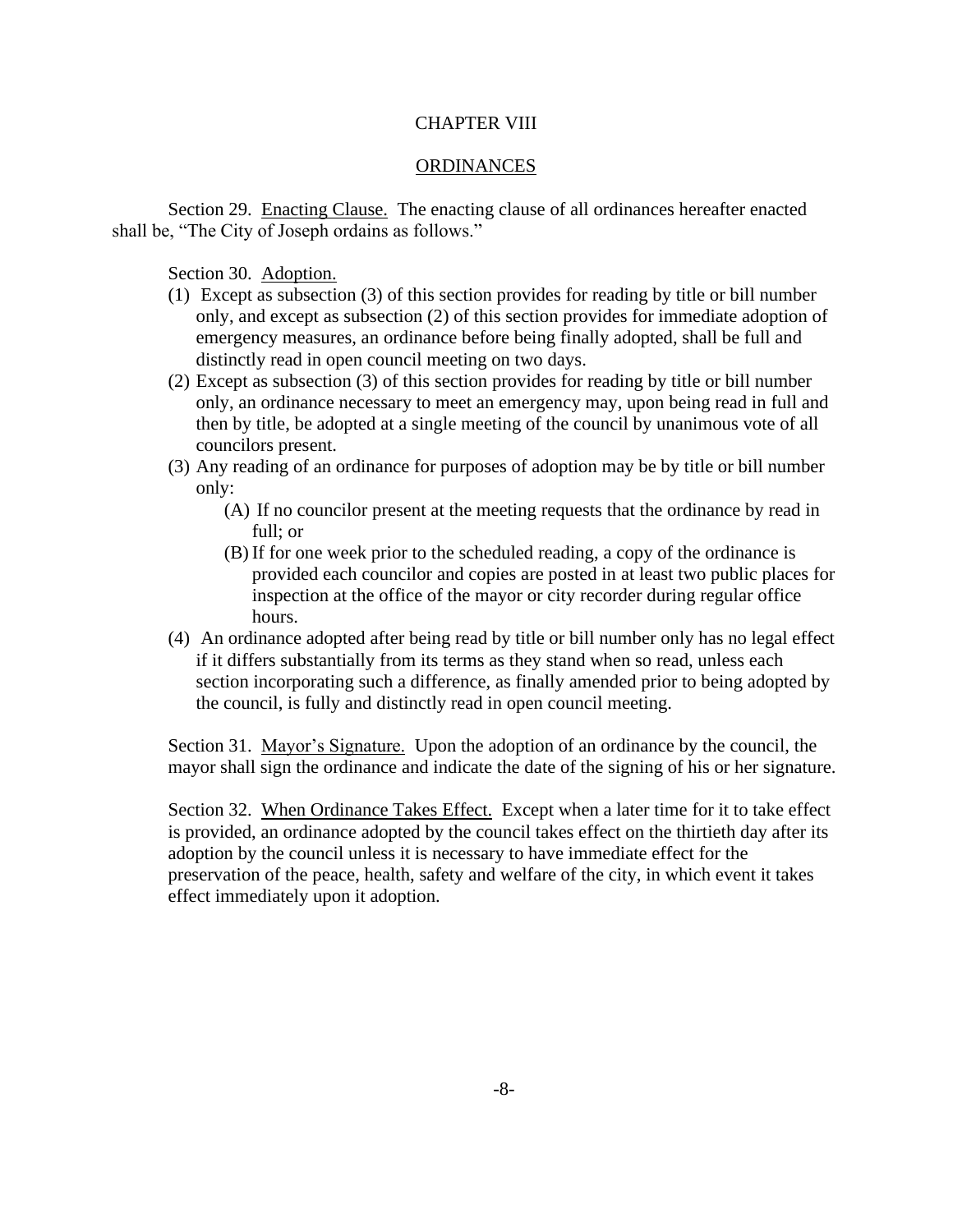## CHAPTER VIII

## ORDINANCES

Section 29. Enacting Clause. The enacting clause of all ordinances hereafter enacted shall be, "The City of Joseph ordains as follows."

Section 30. Adoption.

- (1) Except as subsection (3) of this section provides for reading by title or bill number only, and except as subsection (2) of this section provides for immediate adoption of emergency measures, an ordinance before being finally adopted, shall be full and distinctly read in open council meeting on two days.
- (2) Except as subsection (3) of this section provides for reading by title or bill number only, an ordinance necessary to meet an emergency may, upon being read in full and then by title, be adopted at a single meeting of the council by unanimous vote of all councilors present.
- (3) Any reading of an ordinance for purposes of adoption may be by title or bill number only:
	- (A) If no councilor present at the meeting requests that the ordinance by read in full; or
	- (B) If for one week prior to the scheduled reading, a copy of the ordinance is provided each councilor and copies are posted in at least two public places for inspection at the office of the mayor or city recorder during regular office hours.
- (4) An ordinance adopted after being read by title or bill number only has no legal effect if it differs substantially from its terms as they stand when so read, unless each section incorporating such a difference, as finally amended prior to being adopted by the council, is fully and distinctly read in open council meeting.

Section 31. Mayor's Signature. Upon the adoption of an ordinance by the council, the mayor shall sign the ordinance and indicate the date of the signing of his or her signature.

Section 32. When Ordinance Takes Effect. Except when a later time for it to take effect is provided, an ordinance adopted by the council takes effect on the thirtieth day after its adoption by the council unless it is necessary to have immediate effect for the preservation of the peace, health, safety and welfare of the city, in which event it takes effect immediately upon it adoption.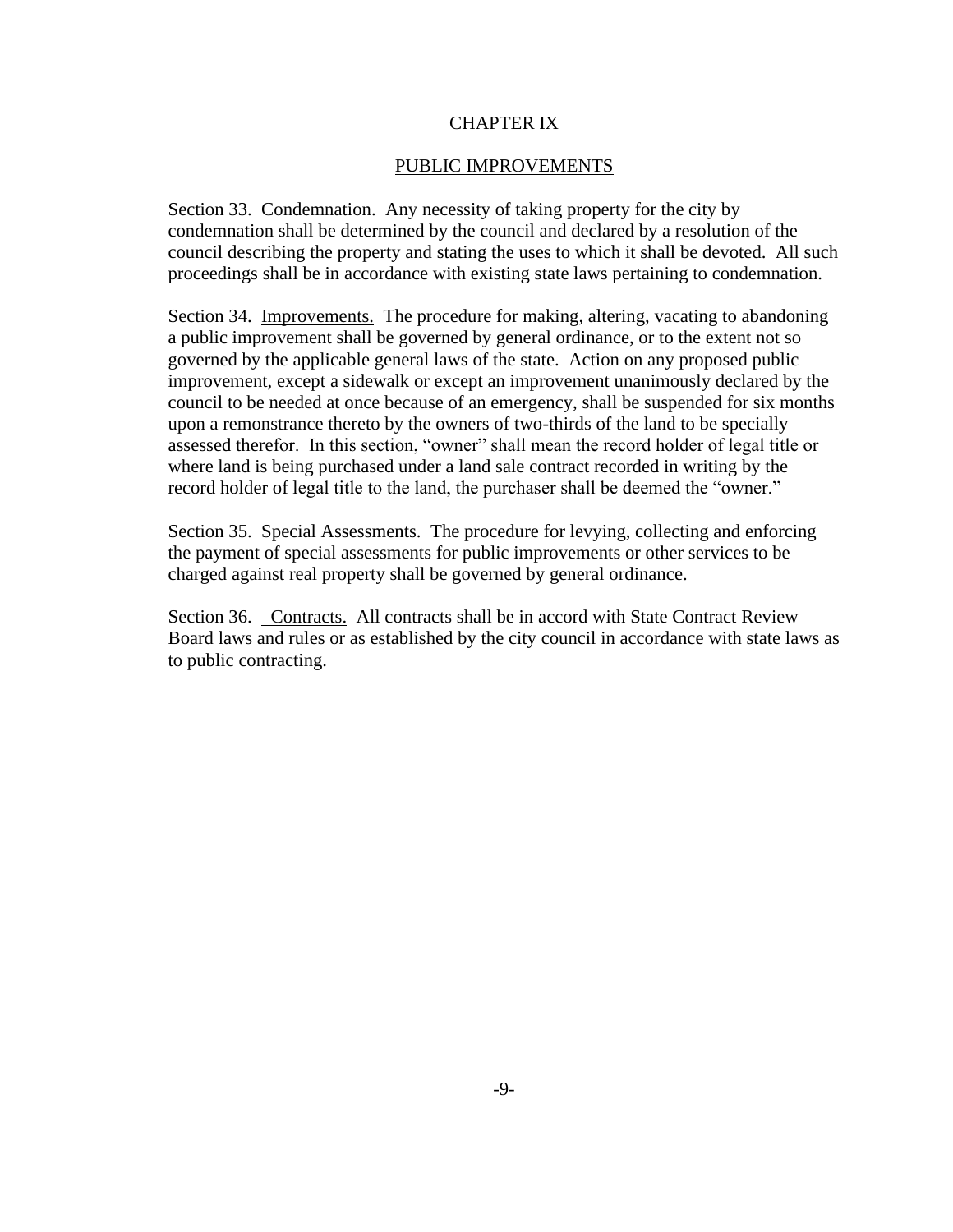## CHAPTER IX

## PUBLIC IMPROVEMENTS

Section 33. Condemnation. Any necessity of taking property for the city by condemnation shall be determined by the council and declared by a resolution of the council describing the property and stating the uses to which it shall be devoted. All such proceedings shall be in accordance with existing state laws pertaining to condemnation.

Section 34. Improvements. The procedure for making, altering, vacating to abandoning a public improvement shall be governed by general ordinance, or to the extent not so governed by the applicable general laws of the state. Action on any proposed public improvement, except a sidewalk or except an improvement unanimously declared by the council to be needed at once because of an emergency, shall be suspended for six months upon a remonstrance thereto by the owners of two-thirds of the land to be specially assessed therefor. In this section, "owner" shall mean the record holder of legal title or where land is being purchased under a land sale contract recorded in writing by the record holder of legal title to the land, the purchaser shall be deemed the "owner."

Section 35. Special Assessments. The procedure for levying, collecting and enforcing the payment of special assessments for public improvements or other services to be charged against real property shall be governed by general ordinance.

Section 36. Contracts. All contracts shall be in accord with State Contract Review Board laws and rules or as established by the city council in accordance with state laws as to public contracting.